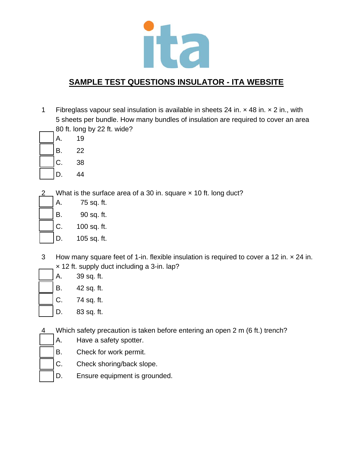

1 Fibreglass vapour seal insulation is available in sheets 24 in. × 48 in. × 2 in., with 5 sheets per bundle. How many bundles of insulation are required to cover an area 80 ft. long by 22 ft. wide?

| А. | 19 |
|----|----|
| Β. | 22 |
| C. | 38 |
| D. | 44 |

What is the surface area of a 30 in. square x 10 ft. long duct?

| A.     | 75 sq. ft.  |
|--------|-------------|
| B.     | 90 sq. ft.  |
| $ C$ . | 100 sq. ft. |
|        |             |

- D. 105 sq. ft.
- 3 How many square feet of 1-in. flexible insulation is required to cover a 12 in. × 24 in. × 12 ft. supply duct including a 3-in. lap?
	- A. 39 sq. ft. B. 42 sq. ft. C. 74 sq. ft.
	- D. 83 sq. ft.
- 4 Which safety precaution is taken before entering an open 2 m (6 ft.) trench?
	- A. Have a safety spotter.
	- B. Check for work permit.
	- C. Check shoring/back slope.
	- D. Ensure equipment is grounded.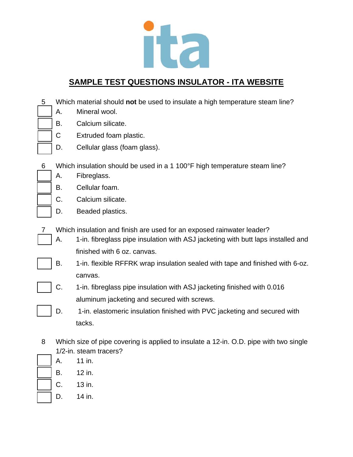

- 5 Which material should **not** be used to insulate a high temperature steam line?
	- A. Mineral wool.
	- B. Calcium silicate.
	- C Extruded foam plastic.
	- D. Cellular glass (foam glass).
- 6 Which insulation should be used in a 1 100°F high temperature steam line?
	- A. Fibreglass.
	- B. Cellular foam.
	- C. Calcium silicate.
	- D. Beaded plastics.
- 7 Which insulation and finish are used for an exposed rainwater leader?
	- A. 1-in. fibreglass pipe insulation with ASJ jacketing with butt laps installed and finished with 6 oz. canvas.
	- B. 1-in. flexible RFFRK wrap insulation sealed with tape and finished with 6-oz. canvas.
	- C. 1-in. fibreglass pipe insulation with ASJ jacketing finished with 0.016 aluminum jacketing and secured with screws.
	- D. 1-in. elastomeric insulation finished with PVC jacketing and secured with tacks.
- 8 Which size of pipe covering is applied to insulate a 12-in. O.D. pipe with two single 1/2-in. steam tracers?
	- A. 11 in.
		- B. 12 in.
		- C. 13 in.
	- D. 14 in.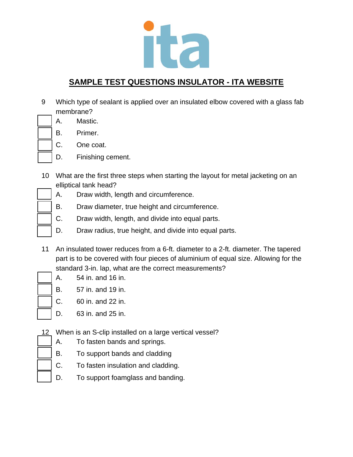

- 9 Which type of sealant is applied over an insulated elbow covered with a glass fab membrane?
	- A. Mastic.
	- B. Primer.
	- C. One coat.
	- D. Finishing cement.
- 10 What are the first three steps when starting the layout for metal jacketing on an elliptical tank head?
	- A. Draw width, length and circumference.
	- B. Draw diameter, true height and circumference.
	- C. Draw width, length, and divide into equal parts.
	- D. Draw radius, true height, and divide into equal parts.
- 11 An insulated tower reduces from a 6-ft. diameter to a 2-ft. diameter. The tapered part is to be covered with four pieces of aluminium of equal size. Allowing for the standard 3-in. lap, what are the correct measurements?
- - A. 54 in. and 16 in.
	- B. 57 in. and 19 in.
	- C. 60 in. and 22 in.
	- D. 63 in. and 25 in.
- 12 When is an S-clip installed on a large vertical vessel?
	- A. To fasten bands and springs.
	- B. To support bands and cladding
	- C. To fasten insulation and cladding.
	- D. To support foamglass and banding.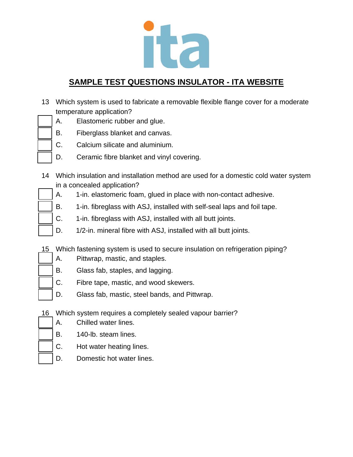

- 13 Which system is used to fabricate a removable flexible flange cover for a moderate temperature application?
	- A. Elastomeric rubber and glue.
	- B. Fiberglass blanket and canvas.
	- C. Calcium silicate and aluminium.
	- D. Ceramic fibre blanket and vinyl covering.
- 14 Which insulation and installation method are used for a domestic cold water system in a concealed application?
	- A. 1-in. elastomeric foam, glued in place with non-contact adhesive.
	- B. 1-in. fibreglass with ASJ, installed with self-seal laps and foil tape.
	- C. 1-in. fibreglass with ASJ, installed with all butt joints.
	- D. 1/2-in. mineral fibre with ASJ, installed with all butt joints.
- 15 Which fastening system is used to secure insulation on refrigeration piping?
	- A. Pittwrap, mastic, and staples.
	- B. Glass fab, staples, and lagging.
	- C. Fibre tape, mastic, and wood skewers.
	- D. Glass fab, mastic, steel bands, and Pittwrap.
- 16 Which system requires a completely sealed vapour barrier?
	- A. Chilled water lines.
	- B. 140-lb. steam lines.
	- C. Hot water heating lines.
	- D. Domestic hot water lines.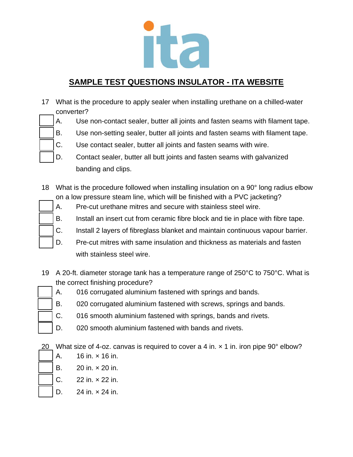

- 17 What is the procedure to apply sealer when installing urethane on a chilled-water converter?
	- A. Use non-contact sealer, butter all joints and fasten seams with filament tape.
	- B. Use non-setting sealer, butter all joints and fasten seams with filament tape.
	- C. Use contact sealer, butter all joints and fasten seams with wire.
	- D. Contact sealer, butter all butt joints and fasten seams with galvanized banding and clips.
- 18 What is the procedure followed when installing insulation on a 90° long radius elbow on a low pressure steam line, which will be finished with a PVC jacketing?
	- A. Pre-cut urethane mitres and secure with stainless steel wire.
	- B. Install an insert cut from ceramic fibre block and tie in place with fibre tape.
	- C. Install 2 layers of fibreglass blanket and maintain continuous vapour barrier.
	- D. Pre-cut mitres with same insulation and thickness as materials and fasten with stainless steel wire.
- 19 A 20-ft. diameter storage tank has a temperature range of 250°C to 750°C. What is the correct finishing procedure?
	- A. 016 corrugated aluminium fastened with springs and bands.
	- B. 020 corrugated aluminium fastened with screws, springs and bands.
	- C. 016 smooth aluminium fastened with springs, bands and rivets.
	- D. 020 smooth aluminium fastened with bands and rivets.

20 What size of 4-oz. canvas is required to cover a 4 in.  $\times$  1 in. iron pipe 90 $^{\circ}$  elbow?

- A. 16 in. × 16 in.
- B. 20 in. × 20 in.
- C. 22 in. × 22 in.
- D.  $24 \text{ in.} \times 24 \text{ in.}$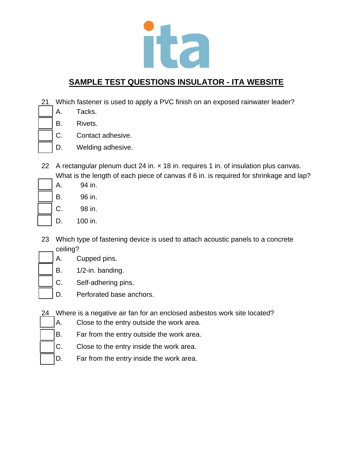

- 21 Which fastener is used to apply a PVC finish on an exposed rainwater leader?
	- A. Tacks.
	- B. Rivets.
	- C. Contact adhesive.
	- D. Welding adhesive.
- 22 A rectangular plenum duct 24 in.  $\times$  18 in. requires 1 in. of insulation plus canvas. What is the length of each piece of canvas if 6 in. is required for shrinkage and lap?
	- A. 94 in.
	- B. 96 in.
	- C. 98 in.
	- D. 100 in.
- 23 Which type of fastening device is used to attach acoustic panels to a concrete ceiling?
- A. Cupped pins.
	- B. 1/2-in. banding.
	- C. Self-adhering pins.
	- D. Perforated base anchors.
- 24 Where is a negative air fan for an enclosed asbestos work site located?
	- A. Close to the entry outside the work area.
	- B. Far from the entry outside the work area.
	- C. Close to the entry inside the work area.
	- D. Far from the entry inside the work area.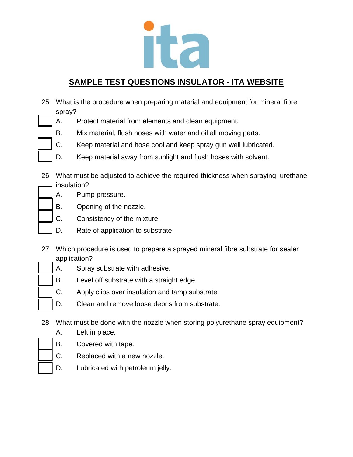

| 25 What is the procedure when preparing material and equipment for mineral fibre |
|----------------------------------------------------------------------------------|
| spray?                                                                           |

- A. Protect material from elements and clean equipment.
- B. Mix material, flush hoses with water and oil all moving parts.
- C. Keep material and hose cool and keep spray gun well lubricated.
- D. Keep material away from sunlight and flush hoses with solvent.

26 What must be adjusted to achieve the required thickness when spraying urethane insulation?

- A. Pump pressure.
- B. Opening of the nozzle.
- C. Consistency of the mixture.
	- D. Rate of application to substrate.
- 27 Which procedure is used to prepare a sprayed mineral fibre substrate for sealer application?
	- A. Spray substrate with adhesive.
	- B. Level off substrate with a straight edge.
	- C. Apply clips over insulation and tamp substrate.
	- D. Clean and remove loose debris from substrate.
- 28 What must be done with the nozzle when storing polyurethane spray equipment?
	- A. Left in place.
	- B. Covered with tape.
	- C. Replaced with a new nozzle.
	- D. Lubricated with petroleum jelly.